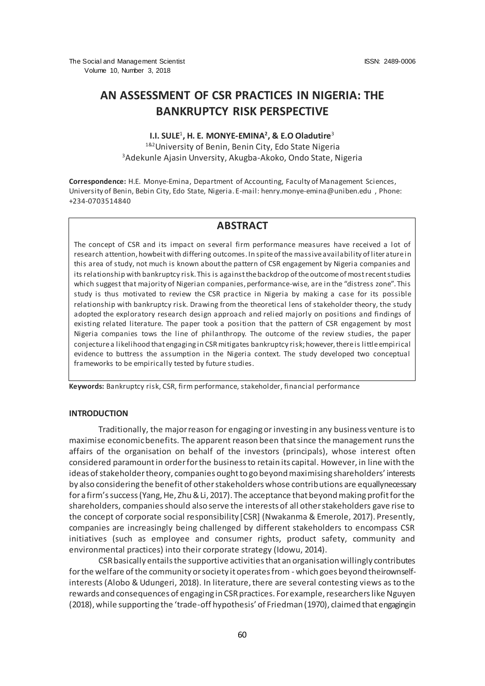# **AN ASSESSMENT OF CSR PRACTICES IN NIGERIA: THE BANKRUPTCY RISK PERSPECTIVE**

### **I.I. SULE<sup>1</sup>, H. E. MONYE-EMINA<sup>2</sup>, & E.O Oladutire<sup>3</sup>** 1&2 University of Benin, Benin City, Edo State Nigeria

<sup>3</sup>Adekunle Ajasin Unversity, Akugba-Akoko, Ondo State, Nigeria

**Correspondence:** H.E. Monye-Emina, Department of Accounting, Faculty of Management Sciences, University of Benin, Bebin City, Edo State, Nigeria. E-mail[: henry.monye-emina@uniben.edu](mailto:henry.monye-emina@uniben.edu) , Phone: +234-0703514840

## **ABSTRACT**

The concept of CSR and its impact on several firm performance measures have received a lot of research attention, howbeit with differing outcomes. In spite of the massive availability of liter ature in this area of study, not much is known about the pattern of CSR engagement by Nigeria companies and its relationship with bankruptcy risk. This is against the backdrop of the outcome of most recent studies which suggest that majority of Nigerian companies, performance-wise, are in the "distress zone". This study is thus motivated to review the CSR practice in Nigeria by making a case for its possible relationship with bankruptcy risk. Drawing from the theoretical lens of stakeholder theory, the study adopted the exploratory research design approach and relied majorly on positions and findings of existing related literature. The paper took a position that the pattern of CSR engagement by most Nigeria companies tows the line of philanthropy. The outcome of the review studies, the paper conjecture a likelihood that engaging in CSR mitigates bankruptcy risk; however, there is little empirical evidence to buttress the assumption in the Nigeria context. The study developed two conceptual frameworks to be empirically tested by future studies.

**Keywords:** Bankruptcy risk, CSR, firm performance, stakeholder, financial performance

#### **INTRODUCTION**

Traditionally, the major reason for engaging or investing in any business venture is to maximise economic benefits. The apparent reason been that since the management runs the affairs of the organisation on behalf of the investors (principals), whose interest often considered paramount in order for the business to retain its capital. However, in line with the ideas of stakeholder theory, companies ought to go beyond maximising shareholders' interests by also considering the benefit of other stakeholders whose contributions are equally necessary for a firm's success (Yang, He, Zhu & Li, 2017). The acceptance that beyond making profit for the shareholders, companies should also serve the interests of all other stakeholders gave rise to the concept of corporate social responsibility [CSR] (Nwakanma & Emerole, 2017). Presently, companies are increasingly being challenged by different stakeholders to encompass CSR initiatives (such as employee and consumer rights, product safety, community and environmental practices) into their corporate strategy (Idowu, 2014).

CSR basically entails the supportive activities that an organisation willingly contributes for the welfare of the community or society it operates from - which goes beyond theirownselfinterests (Alobo & Udungeri, 2018). In literature, there are several contesting views as to the rewards and consequences of engaging in CSR practices. For example, researchers like Nguyen (2018), while supporting the 'trade-off hypothesis' of Friedman (1970), claimed that engaging in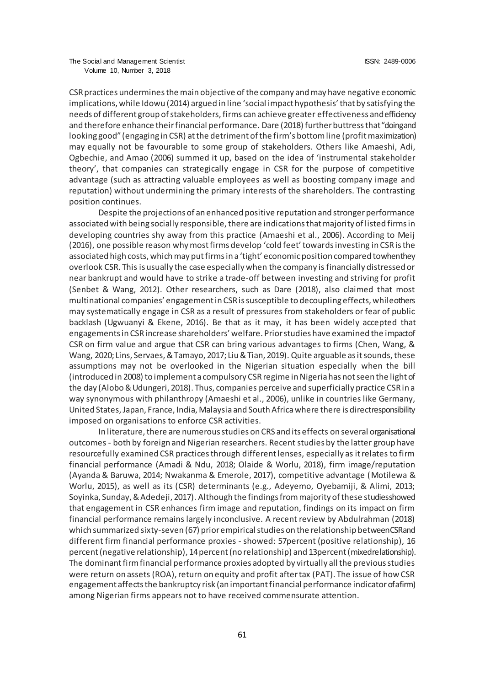CSR practices undermines the main objective of the company and may have negative economic implications, while Idowu (2014) argued in line 'social impact hypothesis' that by satisfying the needs of different group of stakeholders, firms can achieve greater effectiveness and efficiency and therefore enhance their financial performance. Dare (2018) further buttress that "doing and looking good" (engaging in CSR) at the detriment of the firm's bottom line (profit maximization) may equally not be favourable to some group of stakeholders. Others like Amaeshi, Adi, Ogbechie, and Amao (2006) summed it up, based on the idea of 'instrumental stakeholder theory', that companies can strategically engage in CSR for the purpose of competitive advantage (such as attracting valuable employees as well as boosting company image and reputation) without undermining the primary interests of the shareholders. The contrasting position continues.

Despite the projections of an enhanced positive reputation and stronger performance associated with being socially responsible, there are indications that majority of listed firms in developing countries shy away from this practice (Amaeshi et al., 2006). According to Meij (2016), one possible reason why most firms develop 'cold feet' towards investing in CSR is the associated high costs, which may put firms in a 'tight' economic position compared to when they overlook CSR. This is usually the case especially when the company is financially distressed or near bankrupt and would have to strike a trade-off between investing and striving for profit (Senbet & Wang, 2012). Other researchers, such as Dare (2018), also claimed that most multinational companies' engagement in CSR is susceptible to decoupling effects, while others may systematically engage in CSR as a result of pressures from stakeholders or fear of public backlash (Ugwuanyi & Ekene, 2016). Be that as it may, it has been widely accepted that engagements in CSR increase shareholders' welfare. Prior studies have examined the impactof CSR on firm value and argue that CSR can bring various advantages to firms (Chen, Wang, & Wang, 2020; Lins, Servaes, & Tamayo, 2017; Liu & Tian, 2019). Quite arguable as it sounds, these assumptions may not be overlooked in the Nigerian situation especially when the bill (introduced in 2008) to implement a compulsory CSR regime in Nigeria has not seen the light of the day (Alobo & Udungeri, 2018). Thus, companies perceive and superficially practice CSR in a way synonymous with philanthropy (Amaeshi et al., 2006), unlike in countries like Germany, United States, Japan, France, India, Malaysia and South Africa where there is direct responsibility imposed on organisations to enforce CSR activities.

In literature, there are numerous studies on CRS and its effects on several organisational outcomes - both by foreign and Nigerian researchers. Recent studies by the latter group have resourcefully examined CSR practices through different lenses, especially as it relates to firm financial performance (Amadi & Ndu, 2018; Olaide & Worlu, 2018), firm image/reputation (Ayanda & Baruwa, 2014; Nwakanma & Emerole, 2017), competitive advantage (Motilewa & Worlu, 2015), as well as its (CSR) determinants (e.g., Adeyemo, Oyebamiji, & Alimi, 2013; Soyinka, Sunday, & Adedeji, 2017). Although the findings from majority of these studies showed that engagement in CSR enhances firm image and reputation, findings on its impact on firm financial performance remains largely inconclusive. A recent review by Abdulrahman (2018) which summarized sixty-seven (67) prior empirical studies on the relationship between CSR and different firm financial performance proxies - showed: 57percent (positive relationship), 16 percent (negative relationship), 14 percent (no relationship) and 13 percent (mixed relationship). The dominant firm financial performance proxies adopted by virtually all the previous studies were return on assets (ROA), return on equity and profit after tax (PAT). The issue of how CSR engagement affects the bankruptcy risk (an important financial performance indicator of a firm) among Nigerian firms appears not to have received commensurate attention.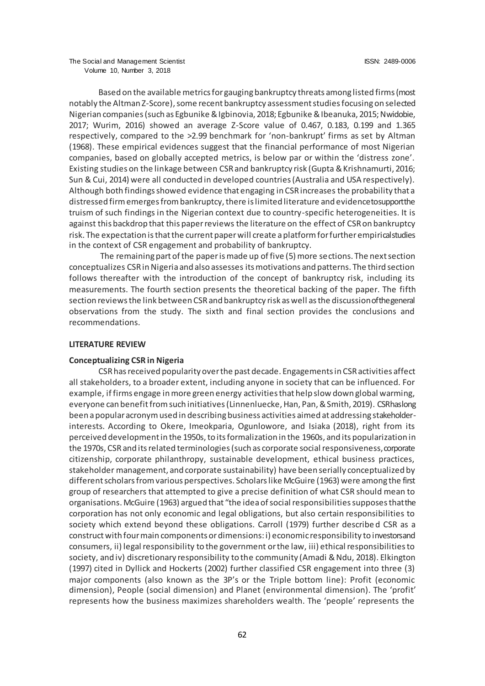Based on the available metrics for gauging bankruptcy threats among listed firms (most notably the Altman Z-Score), some recent bankruptcy assessment studies focusing on selected Nigerian companies (such as Egbunike & Igbinovia, 2018; Egbunike & Ibeanuka, 2015; Nwidobie, 2017; Wurim, 2016) showed an average Z-Score value of 0.467, 0.183, 0.199 and 1.365 respectively, compared to the >2.99 benchmark for 'non-bankrupt' firms as set by Altman (1968). These empirical evidences suggest that the financial performance of most Nigerian companies, based on globally accepted metrics, is below par or within the 'distress zone'. Existing studies on the linkage between CSR and bankruptcy risk (Gupta & Krishnamurti, 2016; Sun & Cui, 2014) were all conducted in developed countries (Australia and USA respectively). Although both findings showed evidence that engaging in CSR increases the probability that a distressed firm emerges from bankruptcy, there is limited literature and evidence to support the truism of such findings in the Nigerian context due to country-specific heterogeneities. It is against this backdrop that this paper reviews the literature on the effect of CSR on bankruptcy risk. The expectation is that the current paper will create a platform for further empirical studies in the context of CSR engagement and probability of bankruptcy.

The remaining part of the paper is made up of five (5) more sections. The next section conceptualizes CSR in Nigeria and also assesses its motivations and patterns. The third section follows thereafter with the introduction of the concept of bankruptcy risk, including its measurements. The fourth section presents the theoretical backing of the paper. The fifth section reviews the link between CSR and bankruptcy risk as well as the discussion of the general observations from the study. The sixth and final section provides the conclusions and recommendations.

#### **LITERATURE REVIEW**

#### **Conceptualizing CSR in Nigeria**

CSR has received popularity over the past decade. Engagements in CSR activities affect all stakeholders, to a broader extent, including anyone in society that can be influenced. For example, if firms engage in more green energy activities that help slow down global warming, everyone can benefit from such initiatives (Linnenluecke, Han, Pan, & Smith, 2019). CSR has long been a popular acronym used in describing business activities aimed at addressing stakeholderinterests. According to Okere, Imeokparia, Ogunlowore, and Isiaka (2018), right from its perceived development in the 1950s, to its formalization in the 1960s, and its popularization in the 1970s, CSR and its related terminologies (such as corporate social responsiveness, corporate citizenship, corporate philanthropy, sustainable development, ethical business practices, stakeholder management, and corporate sustainability) have been serially conceptualized by different scholars from various perspectives. Scholars like McGuire (1963) were among the first group of researchers that attempted to give a precise definition of what CSR should mean to organisations. McGuire (1963) argued that "the idea of social responsibilities supposes that the corporation has not only economic and legal obligations, but also certain responsibilities to society which extend beyond these obligations. Carroll (1979) further describe d CSR as a construct with four main components or dimensions: i) economic responsibility to investors and consumers, ii) legal responsibility to the government or the law, iii) ethical responsibilities to society, and iv) discretionary responsibility to the community (Amadi & Ndu, 2018). Elkington (1997) cited in Dyllick and Hockerts (2002) further classified CSR engagement into three (3) major components (also known as the 3P's or the Triple bottom line): Profit (economic dimension), People (social dimension) and Planet (environmental dimension). The 'profit' represents how the business maximizes shareholders wealth. The 'people' represents the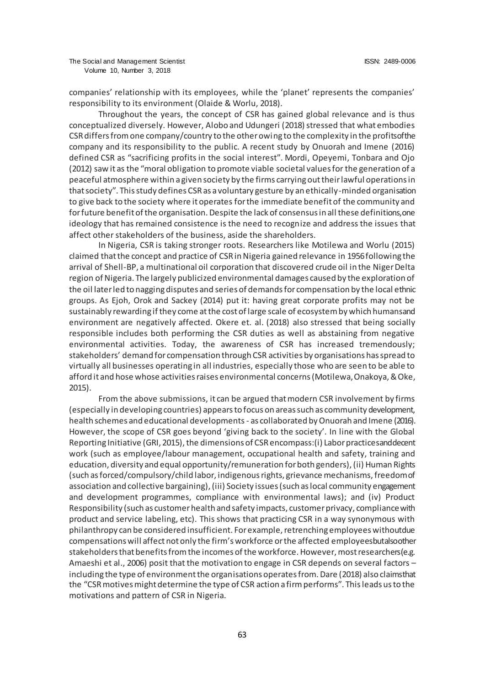companies' relationship with its employees, while the 'planet' represents the companies' responsibility to its environment (Olaide & Worlu, 2018).

Throughout the years, the concept of CSR has gained global relevance and is thus conceptualized diversely. However, Alobo and Udungeri (2018) stressed that what embodies CSR differs from one company/country to the other owing to the complexity in the profits of the company and its responsibility to the public. A recent study by Onuorah and Imene (2016) defined CSR as "sacrificing profits in the social interest". Mordi, Opeyemi, Tonbara and Ojo (2012) saw it as the "moral obligation to promote viable societal values for the generation of a peaceful atmosphere within a given society by the firms carrying out their lawful operations in that society". This study defines CSR as a voluntary gesture by an ethically-minded organisation to give back to the society where it operates for the immediate benefit of the community and for future benefit of the organisation. Despite the lack of consensus in all these definitions, one ideology that has remained consistence is the need to recognize and address the issues that affect other stakeholders of the business, aside the shareholders.

In Nigeria, CSR is taking stronger roots. Researchers like Motilewa and Worlu (2015) claimed that the concept and practice of CSR in Nigeria gained relevance in 1956 following the arrival of Shell-BP, a multinational oil corporation that discovered crude oil in the Niger Delta region of Nigeria. The largely publicized environmental damages caused by the exploration of the oil later led to nagging disputes and series of demands for compensation by the local ethnic groups. As Ejoh, Orok and Sackey (2014) put it: having great corporate profits may not be sustainably rewarding if they come at the cost of large scale of ecosystem by which humans and environment are negatively affected. Okere et. al. (2018) also stressed that being socially responsible includes both performing the CSR duties as well as abstaining from negative environmental activities. Today, the awareness of CSR has increased tremendously; stakeholders' demand for compensation through CSR activities by organisations has spread to virtually all businesses operating in all industries, especially those who are seen to be able to afford it and hose whose activities raises environmental concerns (Motilewa,Onakoya, & Oke, 2015).

From the above submissions, it can be argued that modern CSR involvement by firms (especially in developing countries) appears to focus on areas such as community development, health schemes and educational developments - as collaborated by Onuorah and Imene (2016). However, the scope of CSR goes beyond 'giving back to the society'. In line with the Global Reporting Initiative (GRI, 2015), the dimensions of CSR encompass:(i) Labor practices and decent work (such as employee/labour management, occupational health and safety, training and education, diversity and equal opportunity/remuneration for both genders), (ii) Human Rights (such as forced/compulsory/child labor, indigenous rights, grievance mechanisms, freedom of association and collective bargaining), (iii) Society issues (such as local community engagement and development programmes, compliance with environmental laws); and (iv) Product Responsibility (such as customer health and safety impacts, customer privacy, compliance with product and service labeling, etc). This shows that practicing CSR in a way synonymous with philanthropy can be considered insufficient. For example, retrenching employees without due compensations will affect not only the firm's workforce or the affected employees but also other stakeholders that benefits from the incomes of the workforce. However, most researchers (e.g. Amaeshi et al., 2006) posit that the motivation to engage in CSR depends on several factors – including the type of environment the organisations operates from. Dare (2018) also claims that the "CSR motives might determine the type of CSR action a firm performs". This leads us to the motivations and pattern of CSR in Nigeria.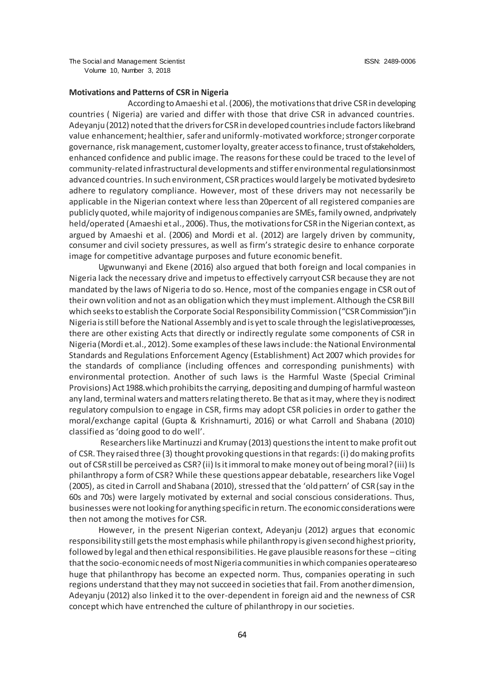### **Motivations and Patterns of CSR in Nigeria**

According to Amaeshi et al. (2006), the motivations that drive CSR in developing countries ( Nigeria) are varied and differ with those that drive CSR in advanced countries. Adeyanju (2012) noted that the drivers for CSR in developed countries include factors like brand value enhancement; healthier, safer and uniformly-motivated workforce; stronger corporate governance, risk management, customer loyalty, greater access to finance, trust of stakeholders, enhanced confidence and public image. The reasons for these could be traced to the level of community-related infrastructural developments and stiffer environmental regulations in most advanced countries. In such environment, CSR practices would largely be motivated by desire to adhere to regulatory compliance. However, most of these drivers may not necessarily be applicable in the Nigerian context where less than 20percent of all registered companies are publicly quoted, while majority of indigenous companies are SMEs, family owned, and privately held/operated (Amaeshi et al., 2006). Thus, the motivations for CSR in the Nigerian context, as argued by Amaeshi et al. (2006) and Mordi et al. (2012) are largely driven by community, consumer and civil society pressures, as well as firm's strategic desire to enhance corporate image for competitive advantage purposes and future economic benefit.

Ugwunwanyi and Ekene (2016) also argued that both foreign and local companies in Nigeria lack the necessary drive and impetus to effectively carryout CSR because they are not mandated by the laws of Nigeria to do so. Hence, most of the companies engage in CSR out of their own volition and not as an obligation which they must implement. Although the CSR Bill which seeks to establish the Corporate Social Responsibility Commission ("CSR Commission") in Nigeria is still before the National Assembly and is yet to scale through the legislative processes, there are other existing Acts that directly or indirectly regulate some components of CSR in Nigeria (Mordi et.al., 2012). Some examples of these laws include: the National Environmental Standards and Regulations Enforcement Agency (Establishment) Act 2007 which provides for the standards of compliance (including offences and corresponding punishments) with environmental protection. Another of such laws is the Harmful Waste (Special Criminal Provisions) Act 1988.which prohibits the carrying, depositing and dumping of harmful waste on any land, terminal waters and matters relating thereto. Be that as it may, where they is nodirect regulatory compulsion to engage in CSR, firms may adopt CSR policies in order to gather the moral/exchange capital (Gupta & Krishnamurti, 2016) or what Carroll and Shabana (2010) classified as 'doing good to do well'.

Researchers like Martinuzzi and Krumay (2013) questions the intent to make profit out of CSR. They raised three (3) thought provoking questions in that regards: (i) do making profits out of CSR still be perceived as CSR? (ii) Is it immoral to make money out of being moral? (iii) Is philanthropy a form of CSR? While these questions appear debatable, researchers like Vogel (2005), as cited in Carroll and Shabana (2010), stressed that the 'old pattern' of CSR (say in the 60s and 70s) were largely motivated by external and social conscious considerations. Thus, businesses were not looking for anything specific in return. The economic considerations were then not among the motives for CSR.

However, in the present Nigerian context, Adeyanju (2012) argues that economic responsibility still gets the most emphasis while philanthropy is given second highest priority, followed by legal and then ethical responsibilities. He gave plausible reasons for these –citing that the socio-economic needs of most Nigeria communities in which companies operate are so huge that philanthropy has become an expected norm. Thus, companies operating in such regions understand that they may not succeed in societies that fail. From another dimension, Adeyanju (2012) also linked it to the over-dependent in foreign aid and the newness of CSR concept which have entrenched the culture of philanthropy in our societies.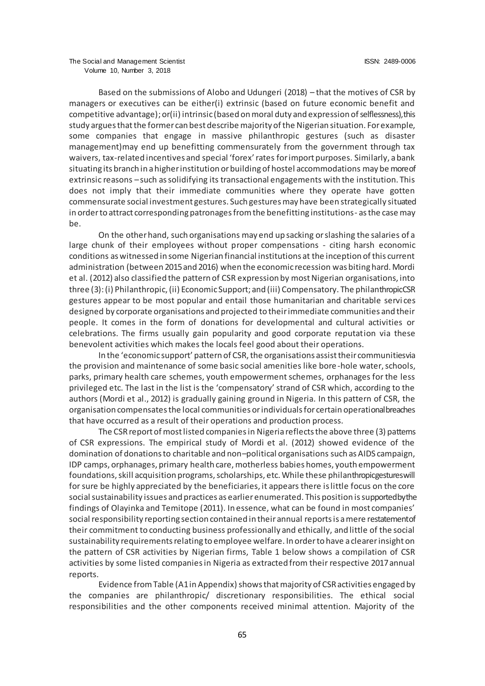Based on the submissions of Alobo and Udungeri (2018) – that the motives of CSR by managers or executives can be either(i) extrinsic (based on future economic benefit and competitive advantage); or(ii) intrinsic (based on moral duty and expression of selflessness), this study argues that the former can best describe majority of the Nigerian situation. For example, some companies that engage in massive philanthropic gestures (such as disaster management)may end up benefitting commensurately from the government through tax waivers, tax-related incentives and special 'forex' rates for import purposes. Similarly, a bank situating its branch in a higher institution or building of hostel accommodations may be more of extrinsic reasons –such as solidifying its transactional engagements with the institution. This does not imply that their immediate communities where they operate have gotten commensurate social investment gestures. Such gestures may have been strategically situated in order to attract corresponding patronages from the benefitting institutions- as the case may be.

On the other hand, such organisations may end up sacking or slashing the salaries of a large chunk of their employees without proper compensations - citing harsh economic conditions as witnessed in some Nigerian financial institutions at the inception of this current administration (between 2015 and 2016) when the economic recession was biting hard. Mordi et al. (2012) also classified the pattern of CSR expression by most Nigerian organisations, into three (3): (i) Philanthropic, (ii) Economic Support; and (iii) Compensatory. The philanthropic CSR gestures appear to be most popular and entail those humanitarian and charitable servi ces designed by corporate organisations and projected to their immediate communities and their people. It comes in the form of donations for developmental and cultural activities or celebrations. The firms usually gain popularity and good corporate reputation via these benevolent activities which makes the locals feel good about their operations.

In the 'economic support' pattern of CSR, the organisations assist their communities via the provision and maintenance of some basic social amenities like bore-hole water, schools, parks, primary health care schemes, youth empowerment schemes, orphanages for the less privileged etc. The last in the list is the 'compensatory' strand of CSR which, according to the authors (Mordi et al., 2012) is gradually gaining ground in Nigeria. In this pattern of CSR, the organisation compensates the local communities or individuals for certain operational breaches that have occurred as a result of their operations and production process.

The CSR report of most listed companies in Nigeria reflects the above three (3) patterns of CSR expressions. The empirical study of Mordi et al. (2012) showed evidence of the domination of donations to charitable and non–political organisations such as AIDS campaign, IDP camps, orphanages, primary health care, motherless babies homes, youth empowerment foundations, skill acquisition programs, scholarships, etc. While these philanthropic gestures will for sure be highly appreciated by the beneficiaries, it appears there is little focus on the core social sustainability issues and practices as earlier enumerated. This position is supported by the findings of Olayinka and Temitope (2011). In essence, what can be found in most companies' social responsibility reporting section contained in their annual reports is a mere restatement of their commitment to conducting business professionally and ethically, and little of the social sustainability requirements relating to employee welfare. In order to have a clearer insight on the pattern of CSR activities by Nigerian firms, Table 1 below shows a compilation of CSR activities by some listed companies in Nigeria as extracted from their respective 2017 annual reports.

Evidence from Table (A1 in Appendix) shows that majority of CSR activities engaged by the companies are philanthropic/ discretionary responsibilities. The ethical social responsibilities and the other components received minimal attention. Majority of the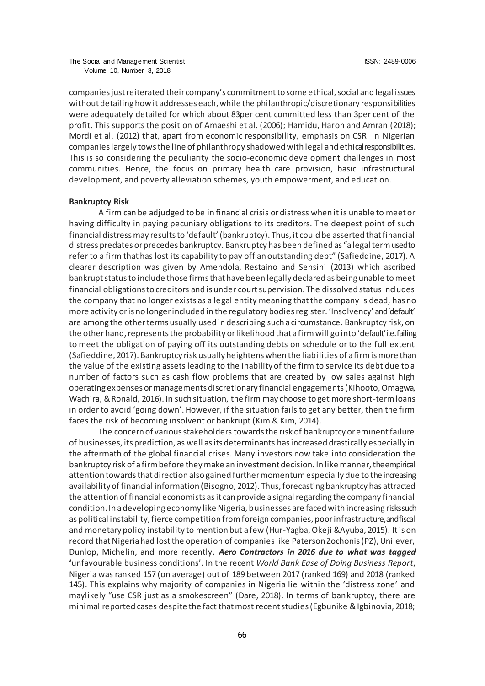companies just reiterated their company's commitment to some ethical, social and legal issues without detailing how it addresses each, while the philanthropic/discretionary responsibilities were adequately detailed for which about 83per cent committed less than 3per cent of the profit. This supports the position of Amaeshi et al. (2006); Hamidu, Haron and Amran (2018); Mordi et al. (2012) that, apart from economic responsibility, emphasis on CSR in Nigerian companies largely tows the line of philanthropy shadowed with legal and ethical responsibilities. This is so considering the peculiarity the socio-economic development challenges in most communities. Hence, the focus on primary health care provision, basic infrastructural development, and poverty alleviation schemes, youth empowerment, and education.

#### **Bankruptcy Risk**

A firm can be adjudged to be in financial crisis or distress when it is unable to meet or having difficulty in paying pecuniary obligations to its creditors. The deepest point of such financial distress may results to 'default' (bankruptcy). Thus, it could be asserted that financial distress predates or precedes bankruptcy. Bankruptcy has been defined as "a legal term used to refer to a firm that has lost its capability to pay off an outstanding debt" (Safieddine, 2017). A clearer description was given by Amendola, Restaino and Sensini (2013) which ascribed bankrupt status to include those firms that have been legally declared as being unable to meet financial obligations to creditors and is under court supervision. The dissolved status includes the company that no longer exists as a legal entity meaning that the company is dead, has no more activity or is no longer included in the regulatory bodies register. 'Insolvency' and 'default' are among the other terms usually used in describing such a circumstance. Bankruptcy risk, on the otherhand, represents the probability or likelihood that a firm will go into 'default' i.e. failing to meet the obligation of paying off its outstanding debts on schedule or to the full extent (Safieddine, 2017). Bankruptcy risk usually heightens when the liabilities of a firm is more than the value of the existing assets leading to the inability of the firm to service its debt due to a number of factors such as cash flow problems that are created by low sales against high operating expenses or managements discretionary financial engagements (Kihooto, Omagwa, Wachira, & Ronald, 2016). In such situation, the firm may choose to get more short-term loans in order to avoid 'going down'. However, if the situation fails to get any better, then the firm faces the risk of becoming insolvent or bankrupt (Kim & Kim, 2014).

The concern of various stakeholders towards the risk of bankruptcy or eminent failure of businesses, its prediction, as well as its determinants has increased drastically especially in the aftermath of the global financial crises. Many investors now take into consideration the bankruptcy risk of a firm before they make an investment decision. In like manner, the empirical attention towards that direction also gained further momentum especially due to the increasing availability of financial information (Bisogno, 2012). Thus, forecasting bankruptcy has attracted the attention of financial economists as it can provide a signal regarding the company financial condition. In a developing economy like Nigeria, businesses are faced with increasing risks such as political instability, fierce competition from foreign companies, poor infrastructure, and fiscal and monetary policy instability to mention but a few (Hur-Yagba, Okeji &Ayuba, 2015). It is on record that Nigeria had lost the operation of companies like Paterson Zochonis (PZ), Unilever, Dunlop, Michelin, and more recently, *Aero Contractors in 2016 due to what was tagged* **'**unfavourable business conditions'. In the recent *World Bank Ease of Doing Business Report*, Nigeria was ranked 157 (on average) out of 189 between 2017 (ranked 169) and 2018 (ranked 145). This explains why majority of companies in Nigeria lie within the 'distress zone' and maylikely "use CSR just as a smokescreen" (Dare, 2018). In terms of bankruptcy, there are minimal reported cases despite the fact that most recent studies (Egbunike & Igbinovia, 2018;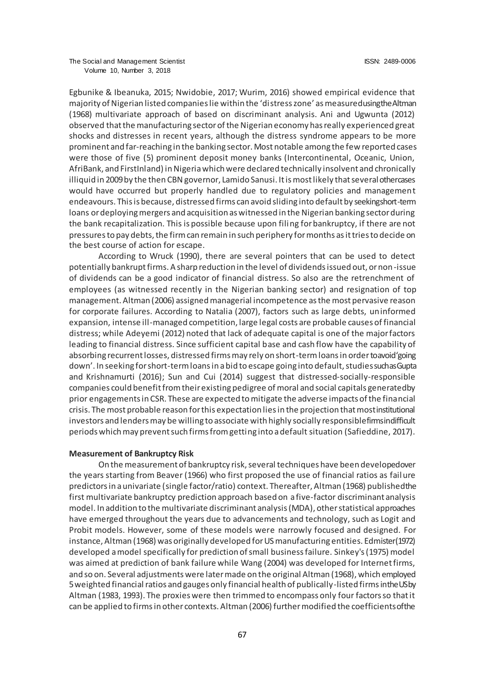Egbunike & Ibeanuka, 2015; Nwidobie, 2017; Wurim, 2016) showed empirical evidence that majority of Nigerian listed companies lie within the 'distress zone' as measured using the Altman (1968) multivariate approach of based on discriminant analysis. Ani and Ugwunta (2012) observed that the manufacturing sector of the Nigerian economy has really experienced great shocks and distresses in recent years, although the distress syndrome appears to be more prominent and far-reaching in the banking sector. Most notable among the few reported cases were those of five (5) prominent deposit money banks (Intercontinental, Oceanic, Union, AfriBank, and FirstInland) in Nigeria which were declared technically insolvent and chronically illiquid in 2009 by the then CBN governor, Lamido Sanusi. It is most likely that several other cases would have occurred but properly handled due to regulatory policies and management endeavours. This is because, distressed firms can avoid sliding into default by seeking short-term loans or deploying mergers and acquisition as witnessed in the Nigerian banking sector during the bank recapitalization. This is possible because upon filing for bankruptcy, if there are not pressures to pay debts, the firm can remain in such periphery for months as it tries to decide on the best course of action for escape.

According to Wruck (1990), there are several pointers that can be used to detect potentially bankrupt firms. A sharp reduction in the level of dividends issued out, or non-issue of dividends can be a good indicator of financial distress. So also are the retrenchment of employees (as witnessed recently in the Nigerian banking sector) and resignation of top management. Altman (2006) assigned managerial incompetence as the most pervasive reason for corporate failures. According to Natalia (2007), factors such as large debts, uninformed expansion, intense ill-managed competition, large legal costs are probable causes of financial distress; while Adeyemi (2012) noted that lack of adequate capital is one of the major factors leading to financial distress. Since sufficient capital base and cash flow have the capability of absorbing recurrent losses, distressed firms may rely on short-term loans in order to avoid 'going down'. In seeking for short-term loans in a bid to escape going into default, studies such as Gupta and Krishnamurti (2016); Sun and Cui (2014) suggest that distressed-socially-responsible companies could benefit from their existing pedigree of moral and social capitals generated by prior engagements in CSR. These are expected to mitigate the adverse impacts of the financial crisis. The most probable reason for this expectation lies in the projection that most institutional investors and lenders may be willing to associate with highly socially responsible firms in difficult periods which may prevent such firms from getting into a default situation (Safieddine, 2017).

#### **Measurement of Bankruptcy Risk**

On the measurement of bankruptcy risk, several techniques have been developed over the years starting from Beaver (1966) who first proposed the use of financial ratios as failure predictors in a univariate (single factor/ratio) context. Thereafter, Altman (1968) published the first multivariate bankruptcy prediction approach based on a five-factor discriminant analysis model. In addition to the multivariate discriminant analysis (MDA), other statistical approaches have emerged throughout the years due to advancements and technology, such as Logit and Probit models. However, some of these models were narrowly focused and designed. For instance, Altman (1968) was originally developed for US manufacturing entities. Edmister (1972) developed a model specifically for prediction of small business failure. Sinkey's (1975) model was aimed at prediction of bank failure while Wang (2004) was developed for Internet firms, and so on. Several adjustments were later made on the original Altman (1968), which employed 5 weighted financial ratios and gauges only financial health of publically-listed firms in the US by Altman (1983, 1993). The proxies were then trimmed to encompass only four factors so that it can be applied to firms in other contexts. Altman (2006) further modified the coefficients of the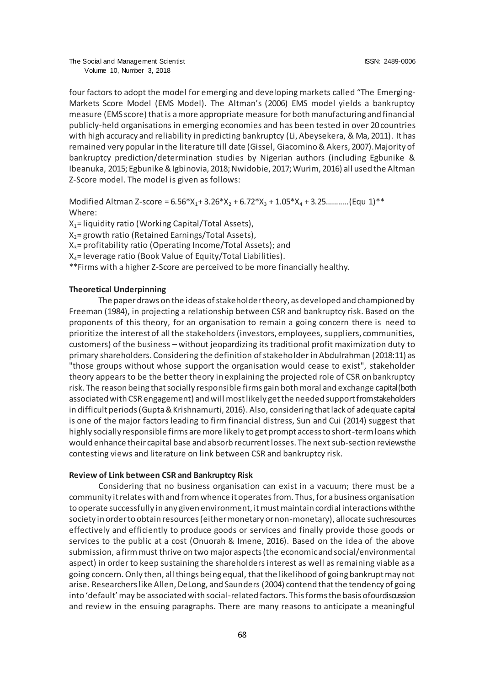four factors to adopt the model for emerging and developing markets called "The Emerging-Markets Score Model (EMS Model). The Altman's (2006) EMS model yields a bankruptcy measure (EMS score) that is a more appropriate measure for both manufacturing and financial publicly-held organisations in emerging economies and has been tested in over 20 countries with high accuracy and reliability in predicting bankruptcy (Li, Abeysekera, & Ma, 2011). It has remained very popular in the literature till date (Gissel, Giacomino & Akers, 2007).Majority of bankruptcy prediction/determination studies by Nigerian authors (including Egbunike & Ibeanuka, 2015; Egbunike & Igbinovia, 2018; Nwidobie, 2017; Wurim, 2016) all used the Altman Z-Score model. The model is given as follows:

Modified Altman Z-score =  $6.56*X_1 + 3.26*X_2 + 6.72*X_3 + 1.05*X_4 + 3.25$ ...........(Equ 1)\*\* Where:

 $X_1$ = liquidity ratio (Working Capital/Total Assets),  $X_2$ = growth ratio (Retained Earnings/Total Assets),  $X_3$ = profitability ratio (Operating Income/Total Assets); and  $X_4$ = leverage ratio (Book Value of Equity/Total Liabilities).

\*\*Firms with a higher Z-Score are perceived to be more financially healthy.

### **Theoretical Underpinning**

The paper draws on the ideas of stakeholder theory, as developed and championed by Freeman (1984), in projecting a relationship between CSR and bankruptcy risk. Based on the proponents of this theory, for an organisation to remain a going concern there is need to prioritize the interest of all the stakeholders (investors, employees, suppliers, communities, customers) of the business – without jeopardizing its traditional profit maximization duty to primary shareholders. Considering the definition of stakeholder in Abdulrahman (2018:11) as "those groups without whose support the organisation would cease to exist", stakeholder theory appears to be the better theory in explaining the projected role of CSR on bankruptcy risk. The reason being that socially responsible firms gain both moral and exchange capital (both associated with CSR engagement) and will most likely get the needed support from stakeholders in difficult periods (Gupta & Krishnamurti, 2016). Also, considering that lack of adequate capital is one of the major factors leading to firm financial distress, Sun and Cui (2014) suggest that highly socially responsible firms are more likely to get prompt access to short-term loans which would enhance their capital base and absorb recurrent losses. The next sub-section reviews the contesting views and literature on link between CSR and bankruptcy risk.

#### **Review of Link between CSR and Bankruptcy Risk**

Considering that no business organisation can exist in a vacuum; there must be a community it relates with and from whence it operates from. Thus, for a business organisation to operate successfully in any given environment, it must maintain cordial interactions with the society in order to obtain resources (either monetary or non-monetary), allocate such resources effectively and efficiently to produce goods or services and finally provide those goods or services to the public at a cost (Onuorah & Imene, 2016). Based on the idea of the above submission, a firm must thrive on two major aspects (the economic and social/environmental aspect) in order to keep sustaining the shareholders interest as well as remaining viable as a going concern. Only then, all things being equal, that the likelihood of going bankrupt may not arise. Researchers like Allen, DeLong, and Saunders (2004) contend that the tendency of going into 'default' may be associated with social-related factors. This forms the basis of our discussion and review in the ensuing paragraphs. There are many reasons to anticipate a meaningful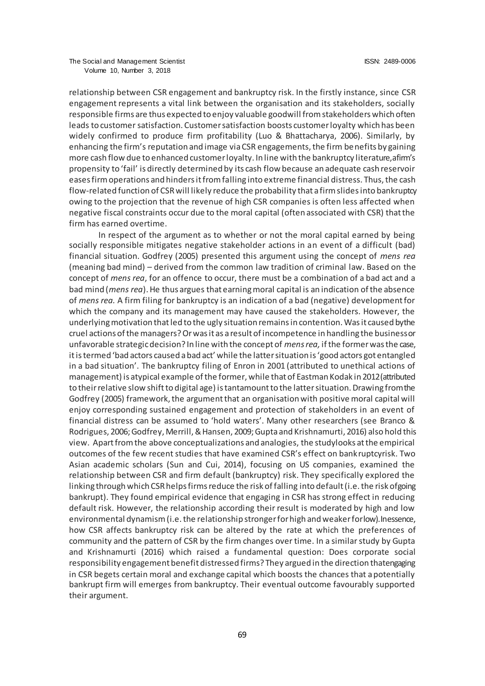relationship between CSR engagement and bankruptcy risk. In the firstly instance, since CSR engagement represents a vital link between the organisation and its stakeholders, socially responsible firms are thus expected to enjoy valuable goodwill from stakeholders which often leads to customer satisfaction. Customer satisfaction boosts customer loyalty which has been widely confirmed to produce firm profitability (Luo & Bhattacharya, 2006). Similarly, by enhancing the firm's reputation and image via CSR engagements, the firm benefits by gaining more cash flow due to enhanced customer loyalty. In line with the bankruptcy literature, a firm's propensity to 'fail' is directly determined by its cash flow because an adequate cash reservoir eases firm operations and hinders it from falling into extreme financial distress. Thus, the cash flow-related function of CSR will likely reduce the probability that a firm slides into bankruptcy owing to the projection that the revenue of high CSR companies is often less affected when negative fiscal constraints occur due to the moral capital (often associated with CSR) that the firm has earned overtime.

In respect of the argument as to whether or not the moral capital earned by being socially responsible mitigates negative stakeholder actions in an event of a difficult (bad) financial situation. Godfrey (2005) presented this argument using the concept of *mens rea* (meaning bad mind) – derived from the common law tradition of criminal law. Based on the concept of *mens rea*, for an offence to occur, there must be a combination of a bad act and a bad mind (*mens rea*). He thus argues that earning moral capital is an indication of the absence of *mens rea.* A firm filing for bankruptcy is an indication of a bad (negative) development for which the company and its management may have caused the stakeholders. However, the underlying motivation that led to the ugly situation remains in contention. Was it caused by the cruel actions of the managers? Or was it as a result of incompetence in handling the business or unfavorable strategic decision? In line with the concept of *mens rea,* if the former was the case, it is termed 'bad actors caused a bad act' while the latter situation is 'good actors got entangled in a bad situation'. The bankruptcy filing of Enron in 2001 (attributed to unethical actions of management) is atypical example of the former, while that of Eastman Kodak in 2012 (attributed to their relative slow shift to digital age) is tantamount to the latter situation. Drawing from the Godfrey (2005) framework, the argument that an organisation with positive moral capital will enjoy corresponding sustained engagement and protection of stakeholders in an event of financial distress can be assumed to 'hold waters'. Many other researchers (see Branco & Rodrigues, 2006; Godfrey, Merrill, & Hansen, 2009; Gupta and Krishnamurti, 2016) also hold this view. Apart from the above conceptualizations and analogies, the studylooks at the empirical outcomes of the few recent studies that have examined CSR's effect on bankruptcyrisk. Two Asian academic scholars (Sun and Cui, 2014), focusing on US companies, examined the relationship between CSR and firm default (bankruptcy) risk. They specifically explored the linking through which CSR helps firms reduce the risk of falling into default (i.e. the risk of going bankrupt). They found empirical evidence that engaging in CSR has strong effect in reducing default risk. However, the relationship according their result is moderated by high and low environmental dynamism (i.e. the relationship stronger for high and weaker for low). Inessence, how CSR affects bankruptcy risk can be altered by the rate at which the preferences of community and the pattern of CSR by the firm changes over time. In a similar study by Gupta and Krishnamurti (2016) which raised a fundamental question: Does corporate social responsibility engagement benefit distressed firms? They argued in the direction that engaging in CSR begets certain moral and exchange capital which boosts the chances that a potentially bankrupt firm will emerges from bankruptcy. Their eventual outcome favourably supported their argument.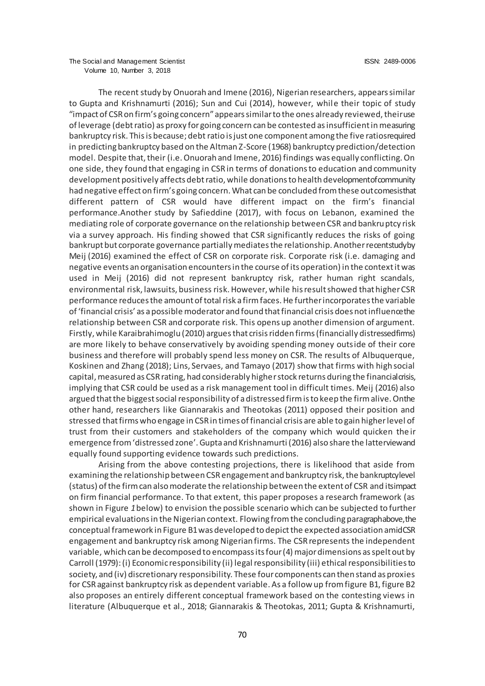The recent study by Onuorah and Imene (2016), Nigerian researchers, appears similar to Gupta and Krishnamurti (2016); Sun and Cui (2014), however, while their topic of study "impact of CSR on firm's going concern" appears similar to the ones already reviewed, their use of leverage (debt ratio) as proxy for going concern can be contested as insufficient in measuring bankruptcy risk. This is because; debt ratio is just one component among the five ratios required in predicting bankruptcy based on the Altman Z-Score (1968) bankruptcy prediction/detection model. Despite that, their (i.e. Onuorah and Imene, 2016) findings was equally conflicting. On one side, they found that engaging in CSR in terms of donations to education and community development positively affects debt ratio, while donations to health development of community had negative effect on firm's going concern. What can be concluded from these out comesisthat different pattern of CSR would have different impact on the firm's financial performance.Another study by Safieddine (2017), with focus on Lebanon, examined the mediating role of corporate governance on the relationship between CSR and bankruptcy risk via a survey approach. His finding showed that CSR significantly reduces the risks of going bankrupt but corporate governance partially mediates the relationship. Another recentstudy by Meij (2016) examined the effect of CSR on corporate risk. Corporate risk (i.e. damaging and negative events an organisation encounters in the course of its operation) in the context it was used in Meij (2016) did not represent bankruptcy risk, rather human right scandals, environmental risk, lawsuits, business risk. However, while his result showed that higher CSR performance reduces the amount of total risk a firm faces. He further incorporates the variable of 'financial crisis' as a possible moderator and found that financial crisis does not influence the relationship between CSR and corporate risk. This opens up another dimension of argument. Firstly, while Karaibrahimoglu (2010) argues that crisis ridden firms (financially distressed firms) are more likely to behave conservatively by avoiding spending money outside of their core business and therefore will probably spend less money on CSR. The results of Albuquerque, Koskinen and Zhang (2018); Lins, Servaes, and Tamayo (2017) show that firms with high social capital, measured as CSR rating, had considerably higher stock returns during the financial crisis, implying that CSR could be used as a risk management tool in difficult times. Meij (2016) also argued that the biggest social responsibility of a distressed firm is to keep the firm alive. On the other hand, researchers like Giannarakis and Theotokas (2011) opposed their position and stressed that firms who engage in CSR in times of financial crisis are able to gain higher level of trust from their customers and stakeholders of the company which would quicken the ir emergence from 'distressed zone'. Gupta and Krishnamurti (2016) also share the latter view and equally found supporting evidence towards such predictions.

Arising from the above contesting projections, there is likelihood that aside from examining the relationship between CSR engagement and bankruptcy risk, the bankruptcy level (status) of the firm can also moderate the relationship between the extent of CSR and its impact on firm financial performance. To that extent, this paper proposes a research framework (as shown in Figure *1*below) to envision the possible scenario which can be subjected to further empirical evaluations in the Nigerian context. Flowing from the concluding paragraph above, the conceptual framework in Figure B1 was developed to depict the expected association amid CSR engagement and bankruptcy risk among Nigerian firms. The CSR represents the independent variable, which can be decomposed to encompass its four (4) major dimensions as spelt out by Carroll (1979): (i) Economic responsibility (ii) legal responsibility (iii) ethical responsibilities to society, and (iv) discretionary responsibility. These four components can then stand as proxies for CSR against bankruptcy risk as dependent variable. As a follow up from figure B1, figure B2 also proposes an entirely different conceptual framework based on the contesting views in literature (Albuquerque et al., 2018; Giannarakis & Theotokas, 2011; Gupta & Krishnamurti,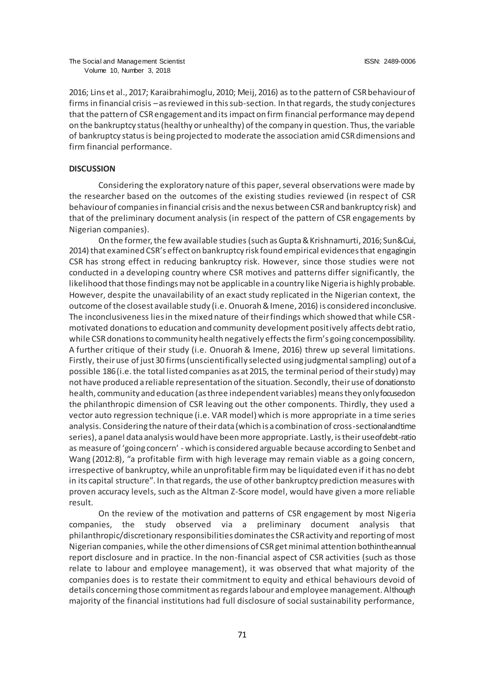2016; Lins et al., 2017; Karaibrahimoglu, 2010; Meij, 2016) as to the pattern of CSR behaviour of firms in financial crisis –as reviewed in this sub-section. In that regards, the study conjectures that the pattern of CSR engagement and its impact on firm financial performance may depend on the bankruptcy status (healthy or unhealthy) of the company in question. Thus, the variable of bankruptcy status is being projected to moderate the association amid CSR dimensions and firm financial performance.

#### **DISCUSSION**

Considering the exploratory nature of this paper, several observations were made by the researcher based on the outcomes of the existing studies reviewed (in respect of CSR behaviour of companies in financial crisis and the nexus between CSR and bankruptcy risk) and that of the preliminary document analysis (in respect of the pattern of CSR engagements by Nigerian companies).

On the former, the few available studies (such as Gupta & Krishnamurti, 2016; Sun & Cui, 2014) that examined CSR's effect on bankruptcy risk found empirical evidences that engaging in CSR has strong effect in reducing bankruptcy risk. However, since those studies were not conducted in a developing country where CSR motives and patterns differ significantly, the likelihood that those findings may not be applicable in a country like Nigeria is highly probable. However, despite the unavailability of an exact study replicated in the Nigerian context, the outcome of the closest available study (i.e. Onuorah & Imene, 2016) is considered inconclusive. The inconclusiveness lies in the mixed nature of their findings which showed that while CSRmotivated donations to education and community development positively affects debt ratio, while CSR donations to community health negatively effects the firm's going concempossibility. A further critique of their study (i.e. Onuorah & Imene, 2016) threw up several limitations. Firstly, their use of just 30 firms (unscientifically selected using judgmental sampling) out of a possible 186 (i.e. the total listed companies as at 2015, the terminal period of their study) may not have produced a reliable representation of the situation. Secondly, their use of donations to health, community and education (as three independent variables) means they only focused on the philanthropic dimension of CSR leaving out the other components. Thirdly, they used a vector auto regression technique (i.e. VAR model) which is more appropriate in a time series analysis. Considering the nature of their data (which is a combination of cross-sectional and time series), a panel data analysis would have been more appropriate. Lastly, is their use of debt-ratio as measure of 'going concern' - which is considered arguable because according to Senbet and Wang (2012:8), "a profitable firm with high leverage may remain viable as a going concern, irrespective of bankruptcy, while an unprofitable firm may be liquidated even if it has no debt in its capital structure". In that regards, the use of other bankruptcy prediction measures with proven accuracy levels, such as the Altman Z-Score model, would have given a more reliable result.

On the review of the motivation and patterns of CSR engagement by most Nigeria companies, the study observed via a preliminary document analysis that philanthropic/discretionary responsibilities dominates the CSR activity and reporting of most Nigerian companies, while the other dimensions of CSR get minimal attention bothintheannual report disclosure and in practice. In the non-financial aspect of CSR activities (such as those relate to labour and employee management), it was observed that what majority of the companies does is to restate their commitment to equity and ethical behaviours devoid of details concerning those commitment as regards labour and employee management. Although majority of the financial institutions had full disclosure of social sustainability performance,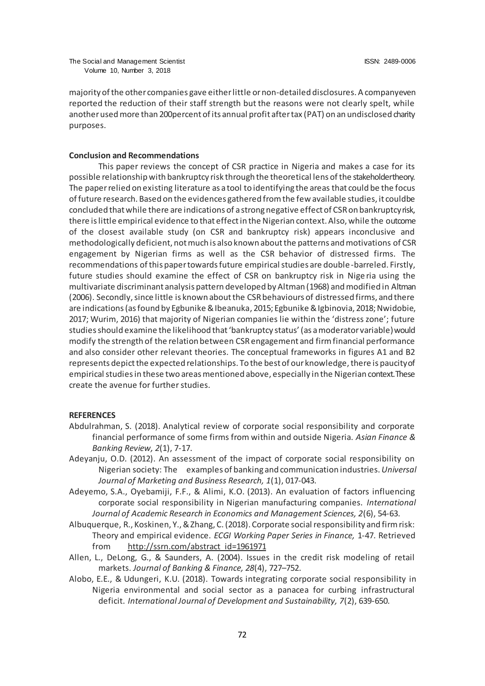majority of the other companies gave either little or non-detailed disclosures. A company even reported the reduction of their staff strength but the reasons were not clearly spelt, while another used more than 200percent of its annual profit after tax (PAT) on an undisclosed charity purposes.

#### **Conclusion and Recommendations**

This paper reviews the concept of CSR practice in Nigeria and makes a case for its possible relationship with bankruptcy risk through the theoretical lens of the stakeholder theory. The paper relied on existing literature as a tool to identifying the areas that could be the focus of future research. Based on the evidences gathered from the few available studies, it could be concluded that while there are indications of a strong negative effect of CSR on bankruptcy risk, there is little empirical evidence to that effect in the Nigerian context. Also, while the outcome of the closest available study (on CSR and bankruptcy risk) appears inconclusive and methodologically deficient, not much is also known about the patterns and motivations of CSR engagement by Nigerian firms as well as the CSR behavior of distressed firms. The recommendations of this paper towards future empirical studies are double-barreled. Firstly, future studies should examine the effect of CSR on bankruptcy risk in Nige ria using the multivariate discriminant analysis pattern developed by Altman (1968) and modified in Altman (2006). Secondly, since little is known about the CSR behaviours of distressed firms, and there are indications (as found by Egbunike & Ibeanuka, 2015; Egbunike & Igbinovia, 2018; Nwidobie, 2017; Wurim, 2016) that majority of Nigerian companies lie within the 'distress zone'; future studies should examine the likelihood that 'bankruptcy status' (as a moderator variable) would modify the strength of the relation between CSR engagement and firm financial performance and also consider other relevant theories. The conceptual frameworks in figures A1 and B2 represents depict the expected relationships. To the best of our knowledge, there is paucity of empirical studies in these two areas mentioned above, especially in the Nigerian context. These create the avenue for further studies.

#### **REFERENCES**

- Abdulrahman, S. (2018). Analytical review of corporate social responsibility and corporate financial performance of some firms from within and outside Nigeria. *Asian Finance & Banking Review, 2*(1), 7-17.
- Adeyanju, O.D. (2012). An assessment of the impact of corporate social responsibility on Nigerian society: The examples of banking and communication industries.*Universal Journal of Marketing and Business Research, 1*(1), 017-043.
- Adeyemo, S.A., Oyebamiji, F.F., & Alimi, K.O. (2013). An evaluation of factors influencing corporate social responsibility in Nigerian manufacturing companies. *International Journal of Academic Research in Economics and Management Sciences, 2*(6), 54-63.
- Albuquerque, R., Koskinen, Y., & Zhang, C. (2018). Corporate social responsibility and firm risk: Theory and empirical evidence. *ECGI Working Paper Series in Finance,* 1-47. Retrieved from [http://ssrn.com/abstract\\_id=1961971](http://ssrn.com/abstract_id=1961971)
- Allen, L., DeLong, G., & Saunders, A. (2004). Issues in the credit risk modeling of retail markets. *Journal of Banking & Finance, 28*(4), 727–752.
- Alobo, E.E., & Udungeri, K.U. (2018). Towards integrating corporate social responsibility in Nigeria environmental and social sector as a panacea for curbing infrastructural deficit. *International Journal of Development and Sustainability, 7*(2), 639-650.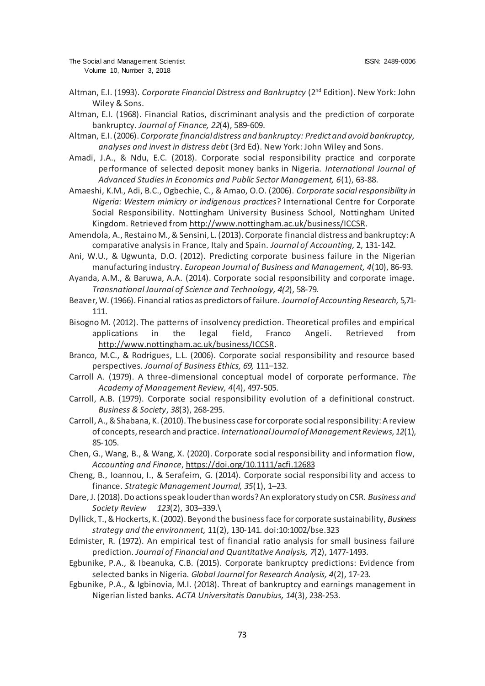- Altman, E.I. (1993). *Corporate Financial Distress and Bankruptcy* (2<sup>nd</sup> Edition). New York: John Wiley & Sons.
- Altman, E.I. (1968). Financial Ratios, discriminant analysis and the prediction of corporate bankruptcy. *Journal of Finance, 22*(4), 589-609.
- Altman, E.I. (2006). *Corporate financial distress and bankruptcy: Predict and avoid bankruptcy, analyses and invest in distress debt* (3rd Ed). New York: John Wiley and Sons.
- Amadi, J.A., & Ndu, E.C. (2018). Corporate social responsibility practice and corporate performance of selected deposit money banks in Nigeria. *International Journal of Advanced Studies in Economics and Public Sector Management, 6*(1), 63-88.
- Amaeshi, K.M., Adi, B.C., Ogbechie, C., & Amao, O.O. (2006). *Corporate social responsibility in Nigeria: Western mimicry or indigenous practices*? International Centre for Corporate Social Responsibility. Nottingham University Business School, Nottingham United Kingdom. Retrieved fro[m http://www.nottingham.ac.uk/business/ICCS](http://www.nottingham.ac.uk/business/ICCSR)R.
- Amendola, A., Restaino M., & Sensini, L. (2013). Corporate financial distress and bankruptcy: A comparative analysis in France, Italy and Spain. *Journal of Accounting,* 2, 131-142.
- Ani, W.U., & Ugwunta, D.O. (2012). Predicting corporate business failure in the Nigerian manufacturing industry. *European Journal of Business and Management, 4*(10), 86-93.
- Ayanda, A.M., & Baruwa, A.A. (2014). Corporate social responsibility and corporate image. *Transnational Journal of Science and Technology, 4(2*), 58-79.
- Beaver, W. (1966). Financial ratios as predictors of failure. *Journal of Accounting Research,* 5,71- 111.
- Bisogno M. (2012). The patterns of insolvency prediction. Theoretical profiles and empirical applications in the legal field, Franco Angeli. Retrieved from <http://www.nottingham.ac.uk/business/ICCSR>.
- Branco, M.C., & Rodrigues, L.L. (2006). Corporate social responsibility and resource based perspectives. *Journal of Business Ethics, 69,* 111–132.
- Carroll A. (1979). A three-dimensional conceptual model of corporate performance. *The Academy of Management Review, 4*(4), 497-505.
- Carroll, A.B. (1979). Corporate social responsibility evolution of a definitional construct. *Business & Society*, *38*(3), 268-295.
- Carroll, A., & Shabana, K. (2010). The business case for corporate social responsibility: A review of concepts, research and practice. *International Journal of Management Reviews,12*(1), 85-105.
- Chen, G., Wang, B., & Wang, X. (2020). Corporate social responsibility and information flow, *Accounting and Finance*[, https://doi.org/10.1111/acfi.12683](https://doi.org/10.1111/acfi.12683)
- Cheng, B., Ioannou, I., & Serafeim, G. (2014). Corporate social responsibi lity and access to finance. *Strategic Management Journal, 35*(1), 1–23.
- Dare, J. (2018). Do actions speak louder than words? An exploratory study on CSR. *Business and Society Review 123*(2), 303–339.\
- Dyllick, T., & Hockerts, K. (2002). Beyond the business face for corporate sustainability, *Business strategy and the environment,* 11(2), 130-141. doi:10:1002/bse.323
- Edmister, R. (1972). An empirical test of financial ratio analysis for small business failure prediction. *Journal of Financial and Quantitative Analysis, 7*(2), 1477-1493.
- Egbunike, P.A., & Ibeanuka, C.B. (2015). Corporate bankruptcy predictions: Evidence from selected banks in Nigeria. *Global Journal for Research Analysis, 4*(2), 17-23.
- Egbunike, P.A., & Igbinovia, M.I. (2018). Threat of bankruptcy and earnings management in Nigerian listed banks. *ACTA Universitatis Danubius, 14*(3), 238-253.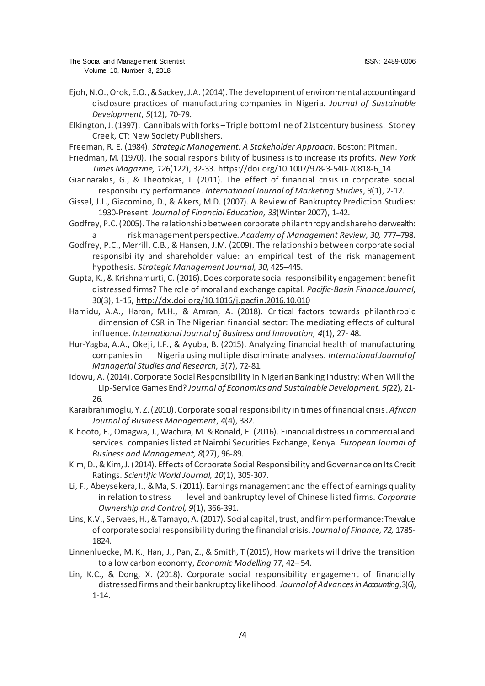- Ejoh, N.O., Orok, E.O., & Sackey, J.A. (2014). The development of environmental accounting and disclosure practices of manufacturing companies in Nigeria. *Journal of Sustainable Development, 5*(12), 70-79.
- Elkington, J. (1997). Cannibals with forks –Triple bottom line of 21st century business. Stoney Creek, CT: New Society Publishers.
- Freeman, R. E. (1984). *Strategic Management: A Stakeholder Approach.* Boston: Pitman.
- Friedman, M. (1970). The social responsibility of business is to increase its profits. *New York Times Magazine, 126*(122), 32-33. [https://doi.org/10.1007/978-3-540-70818-6\\_14](https://doi.org/10.1007/978-3-540-70818-6_14)
- Giannarakis, G., & Theotokas, I. (2011). The effect of financial crisis in corporate social responsibility performance. *International Journal of Marketing Studies*, *3*(1), 2-12.
- Gissel, J.L., Giacomino, D., & Akers, M.D. (2007). A Review of Bankruptcy Prediction Studies: 1930-Present. *Journal of Financial Education, 33*(Winter 2007), 1-42.
- Godfrey, P.C. (2005). The relationship between corporate philanthropy and shareholder wealth: a risk management perspective. *Academy of Management Review, 30,* 777–798.
- Godfrey, P.C., Merrill, C.B., & Hansen, J.M. (2009). The relationship between corporate social responsibility and shareholder value: an empirical test of the risk management hypothesis. *Strategic Management Journal, 30*, 425–445.
- Gupta, K., & Krishnamurti, C. (2016). Does corporate social responsibility engagement benefit distressed firms? The role of moral and exchange capital. *Pacific-Basin Finance Journal*, 30(3), 1-15,<http://dx.doi.org/10.1016/j.pacfin.2016.10.010>
- Hamidu, A.A., Haron, M.H., & Amran, A. (2018). Critical factors towards philanthropic dimension of CSR in The Nigerian financial sector: The mediating effects of cultural influence. *International Journal of Business and Innovation, 4*(1), 27- 48.
- Hur-Yagba, A.A., Okeji, I.F., & Ayuba, B. (2015). Analyzing financial health of manufacturing companies in Nigeria using multiple discriminate analyses. *International Journal of Managerial Studies and Research, 3*(7), 72-81.
- Idowu, A. (2014). Corporate Social Responsibility in Nigerian Banking Industry: When Will the Lip-Service Games End? *Journal of Economics and Sustainable Development, 5(*22), 21- 26.
- Karaibrahimoglu, Y. Z. (2010). Corporate social responsibility in times of financial crisis. *African Journal of Business Management*, *4*(4), 382.
- Kihooto, E., Omagwa, J., Wachira, M. & Ronald, E. (2016). Financial distress in commercial and services companies listed at Nairobi Securities Exchange, Kenya. *European Journal of Business and Management, 8*(27), 96-89.
- Kim, D., & Kim, J. (2014). Effects of Corporate Social Responsibility and Governance on Its Credit Ratings. *Scientific World Journal, 10*(1), 305-307.
- Li, F., Abeysekera, I., & Ma, S. (2011). Earnings management and the effect of earnings quality in relation to stress level and bankruptcy level of Chinese listed firms. *Corporate Ownership and Control, 9*(1), 366-391.
- Lins, K.V., Servaes, H., & Tamayo, A. (2017). Social capital, trust, and firm performance: The value of corporate social responsibility during the financial crisis. *Journal of Finance, 72,* 1785- 1824.
- Linnenluecke, M. K., Han, J., Pan, Z., & Smith, T (2019), How markets will drive the transition to a low carbon economy, *Economic Modelling* 77, 42– 54.
- Lin, K.C., & Dong, X. (2018). Corporate social responsibility engagement of financially distressed firms and their bankruptcy likelihood. *Journal of Advances in Accounting*, 3(6), 1-14.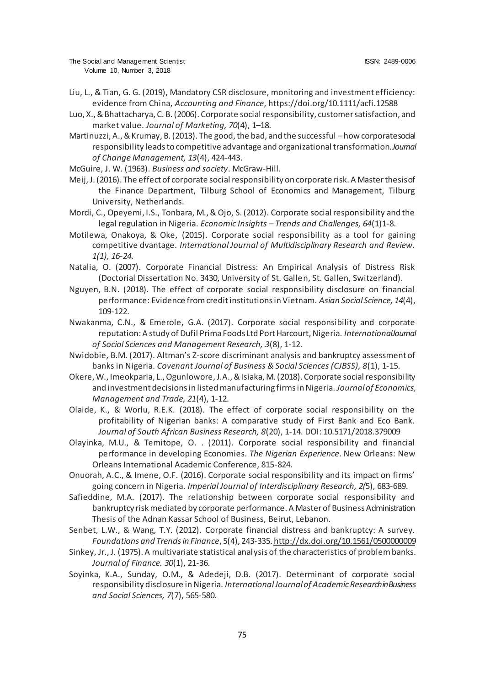- Liu, L., & Tian, G. G. (2019), Mandatory CSR disclosure, monitoring and investment efficiency: evidence from China, *Accounting and Finance*[, https://doi.org/10.1111/acfi.1258](https://doi.org/10.1111/acfi.12588)8
- Luo, X., & Bhattacharya, C. B. (2006). Corporate social responsibility, customer satisfaction, and market value. *Journal of Marketing, 70*(4), 1–18.
- Martinuzzi, A., & Krumay, B. (2013). The good, the bad, and the successful –how corporate social responsibility leads to competitive advantage and organizational transformation.*Journal of Change Management, 13*(4), 424-443.
- McGuire, J. W. (1963). *Business and society*. McGraw-Hill.
- Meij, J. (2016). The effect of corporate social responsibility on corporate risk. A Master thesis of the Finance Department, Tilburg School of Economics and Management, Tilburg University, Netherlands.
- Mordi, C., Opeyemi, I.S., Tonbara, M., & Ojo, S. (2012). Corporate social responsibility and the legal regulation in Nigeria. *Economic Insights – Trends and Challenges, 64*(1)1-8.
- Motilewa, Onakoya, & Oke, (2015). Corporate social responsibility as a tool for gaining competitive dvantage. *International Journal of Multidisciplinary Research and Review. 1(1), 16-24.*
- Natalia, O. (2007). Corporate Financial Distress: An Empirical Analysis of Distress Risk (Doctorial Dissertation No. 3430, University of St. Gallen, St. Gallen, Switzerland).
- Nguyen, B.N. (2018). The effect of corporate social responsibility disclosure on financial performance: Evidence from credit institutions in Vietnam. *Asian Social Science, 14*(4), 109-122.
- Nwakanma, C.N., & Emerole, G.A. (2017). Corporate social responsibility and corporate reputation: A study of Dufil Prima Foods Ltd Port Harcourt, Nigeria. *International Journal of Social Sciences and Management Research, 3*(8), 1-12.
- Nwidobie, B.M. (2017). Altman's Z-score discriminant analysis and bankruptcy assessment of banks in Nigeria. *Covenant Journal of Business & Social Sciences (CJBSS), 8*(1), 1-15.
- Okere, W., Imeokparia, L., Ogunlowore, J.A., & Isiaka, M. (2018). Corporate social responsibility and investment decisions in listed manufacturing firms in Nigeria. *Journal of Economics, Management and Trade, 21*(4), 1-12.
- Olaide, K., & Worlu, R.E.K. (2018). The effect of corporate social responsibility on the profitability of Nigerian banks: A comparative study of First Bank and Eco Bank. *Journal of South African Business Research, 8*(20), 1-14. DOI: 10.5171/2018.379009
- Olayinka, M.U., & Temitope, O. . (2011). Corporate social responsibility and financial performance in developing Economies. *The Nigerian Experience*. New Orleans: New Orleans International Academic Conference, 815-824.
- Onuorah, A.C., & Imene, O.F. (2016). Corporate social responsibility and its impact on firms' going concern in Nigeria. *Imperial Journal of Interdisciplinary Research, 2(*5), 683-689.
- Safieddine, M.A. (2017). The relationship between corporate social responsibility and bankruptcy risk mediated by corporate performance. A Master of Business Administration Thesis of the Adnan Kassar School of Business, Beirut, Lebanon.
- Senbet, L.W., & Wang, T.Y. (2012). Corporate financial distress and bankruptcy: A survey. *Foundations and Trends in Finance*, 5(4), 243-33[5. http://dx.doi.org/10.1561/0500000009](http://dx.doi.org/10.1561/0500000009)
- Sinkey, Jr., J. (1975). A multivariate statistical analysis of the characteristics of problem banks. *Journal of Finance. 30*(1), 21-36.
- Soyinka, K.A., Sunday, O.M., & Adedeji, D.B. (2017). Determinant of corporate social responsibility disclosure in Nigeria. *International Journal of Academic Research in Business and Social Sciences, 7*(7), 565-580.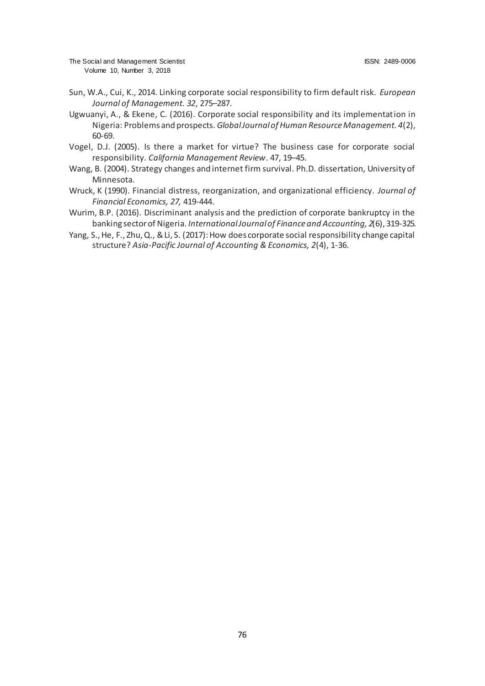- Sun, W.A., Cui, K., 2014. Linking corporate social responsibility to firm default risk. *European Journal of Management. 32*, 275–287.
- Ugwuanyi, A., & Ekene, C. (2016). Corporate social responsibility and its implementation in Nigeria: Problems and prospects. *Global Journal of Human Resource Management. 4*(2), 60-69.
- Vogel, D.J. (2005). Is there a market for virtue? The business case for corporate social responsibility. *California Management Review*. 47, 19–45.
- Wang, B. (2004). Strategy changes and internet firm survival. Ph.D. dissertation, University of Minnesota.
- Wruck, K (1990). Financial distress, reorganization, and organizational efficiency. *Journal of Financial Economics, 27,* 419-444.
- Wurim, B.P. (2016). Discriminant analysis and the prediction of corporate bankruptcy in the banking sector of Nigeria. *International Journal of Finance and Accounting, 2*(6), 319-325.
- Yang, S., He, F., Zhu, Q., & Li, S. (2017): How does corporate social responsibility change capital structure? *Asia-Pacific Journal of Accounting & Economics, 2*(4), 1-36.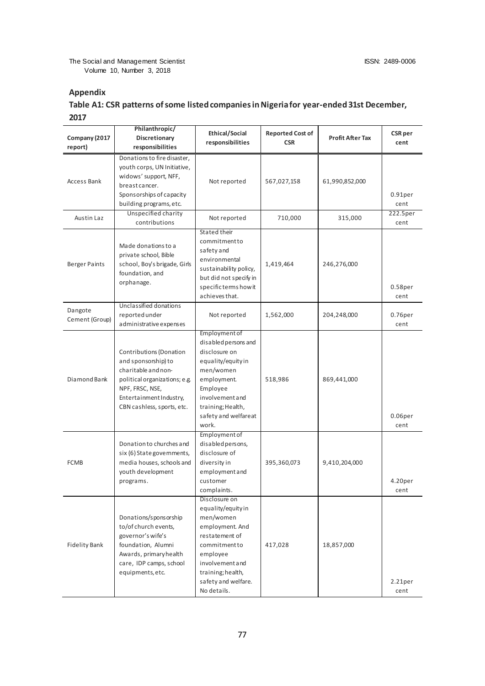### **Appendix**

# **Table A1: CSR patterns of some listed companies in Nigeria for year-ended 31st December, 2017**

| Company (2017<br>report)  | Philanthropic/<br>Discretionary<br>responsibilities                                                                                                                                | <b>Ethical/Social</b><br>responsibilities                                                                                                                                                      | <b>Reported Cost of</b><br><b>CSR</b> | <b>Profit After Tax</b> | <b>CSR</b> per<br>cent      |
|---------------------------|------------------------------------------------------------------------------------------------------------------------------------------------------------------------------------|------------------------------------------------------------------------------------------------------------------------------------------------------------------------------------------------|---------------------------------------|-------------------------|-----------------------------|
| Access Bank               | Donations to fire disaster,<br>youth corps, UN Initiative,<br>widows' support, NFF,<br>breast cancer.<br>Sponsorships of capacity<br>building programs, etc.                       | Not reported                                                                                                                                                                                   | 567,027,158                           | 61,990,852,000          | 0.91 <sub>per</sub><br>cent |
| Austin Laz                | Unspecified charity<br>contributions                                                                                                                                               | Not reported                                                                                                                                                                                   | 710,000                               | 315,000                 | 222.5per<br>cent            |
| <b>Berger Paints</b>      | Made donations to a<br>private school, Bible<br>school, Boy's brigade, Girls<br>foundation, and<br>orphanage.                                                                      | Stated their<br>commitmentto<br>safety and<br>environmental<br>sustainability policy,<br>but did not specify in<br>specific terms how it<br>achieves that.                                     | 1,419,464                             | 246,276,000             | 0.58 <sub>per</sub><br>cent |
| Dangote<br>Cement (Group) | Unclassified donations<br>reported under<br>administrative expenses                                                                                                                | Not reported                                                                                                                                                                                   | 1,562,000                             | 204,248,000             | 0.76 <sub>per</sub><br>cent |
| Diamond Bank              | Contributions (Donation<br>and sponsorship) to<br>charitable and non-<br>political organizations; e.g.<br>NPF, FRSC, NSE,<br>Entertainment Industry,<br>CBN cashless, sports, etc. | Employment of<br>disabled persons and<br>disclosure on<br>equality/equityin<br>men/women<br>employment.<br>Employee<br>involvementand<br>training; Health,<br>safety and welfareat<br>work.    | 518,986                               | 869,441,000             | 0.06 <sub>per</sub><br>cent |
| <b>FCMB</b>               | Donation to churches and<br>six (6) State governments,<br>media houses, schools and<br>youth development<br>programs.                                                              | Employment of<br>disabled persons,<br>disclosure of<br>diversity in<br>employmentand<br>customer<br>complaints.                                                                                | 395,360,073                           | 9,410,204,000           | 4.20per<br>cent             |
| <b>Fidelity Bank</b>      | Donations/sponsorship<br>to/of church events,<br>governor's wife's<br>foundation, Alumni<br>Awards, primary health<br>care, IDP camps, school<br>equipments, etc.                  | Disclosure on<br>equality/equityin<br>men/women<br>employment. And<br>restatement of<br>commitmentto<br>employee<br>involvement and<br>training; health,<br>safety and welfare.<br>No details. | 417,028                               | 18,857,000              | 2.21 <sub>per</sub><br>cent |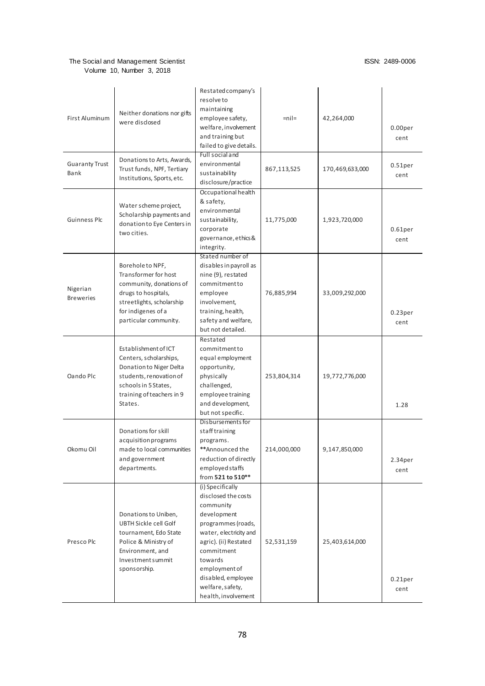| First Aluminum                | Neither donations nor gifts<br>were disclosed                                                                                                                          | Restated company's<br>resolve to<br>maintaining<br>employee safety,<br>welfare, involvement<br>and training but<br>failed to give details.<br>Full social and                                                                                           | $=$ nil $=$ | 42,264,000      | 0.00per<br>cent             |
|-------------------------------|------------------------------------------------------------------------------------------------------------------------------------------------------------------------|---------------------------------------------------------------------------------------------------------------------------------------------------------------------------------------------------------------------------------------------------------|-------------|-----------------|-----------------------------|
| <b>Guaranty Trust</b><br>Bank | Donations to Arts, Awards,<br>Trust funds, NPF, Tertiary<br>Institutions, Sports, etc.                                                                                 | environmental<br>sustainability<br>disclosure/practice                                                                                                                                                                                                  | 867,113,525 | 170,469,633,000 | $0.51$ per<br>cent          |
| Guinness Plc                  | Water scheme project,<br>Scholarship payments and<br>donation to Eye Centers in<br>two cities.                                                                         | Occupational health<br>& safety,<br>environmental<br>sustainability,<br>corporate<br>governance, ethics &<br>integrity.                                                                                                                                 | 11,775,000  | 1,923,720,000   | 0.61 <sub>per</sub><br>cent |
| Nigerian<br><b>Breweries</b>  | Borehole to NPF,<br>Transformer for host<br>community, donations of<br>drugs to hospitals,<br>streetlights, scholarship<br>for indigenes of a<br>particular community. | Stated number of<br>disables in payroll as<br>nine (9), restated<br>commitmentto<br>employee<br>involvement,<br>training, health,<br>safety and welfare,<br>but not detailed.                                                                           | 76,885,994  | 33,009,292,000  | 0.23 <sub>per</sub><br>cent |
| Oando Plc                     | Establishment of ICT<br>Centers, scholarships,<br>Donation to Niger Delta<br>students, renovation of<br>schools in 5 States,<br>training of teachers in 9<br>States.   | Restated<br>commitmentto<br>equal employment<br>opportunity,<br>physically<br>challenged,<br>employee training<br>and development,<br>but not specific.                                                                                                 | 253,804,314 | 19,772,776,000  | 1.28                        |
| Okomu Oil                     | Donations for skill<br>acquisition programs<br>made to local communities<br>and government<br>departments.                                                             | Disbursements for<br>stafftraining<br>programs.<br>**Announced the<br>reduction of directly<br>employed staffs<br>from 521 to 510**                                                                                                                     | 214,000,000 | 9,147,850,000   | 2.34 <sub>per</sub><br>cent |
| Presco Plc                    | Donations to Uniben,<br>UBTH Sickle cell Golf<br>tournament, Edo State<br>Police & Ministry of<br>Environment, and<br>Investment summit<br>sponsorship.                | (i) Specifically<br>disclosed the costs<br>community<br>development<br>programmes (roads,<br>water, electricity and<br>agric). (ii) Restated<br>commitment<br>towards<br>employment of<br>disabled, employee<br>welfare, safety,<br>health, involvement | 52,531,159  | 25,403,614,000  | 0.21 <sub>per</sub><br>cent |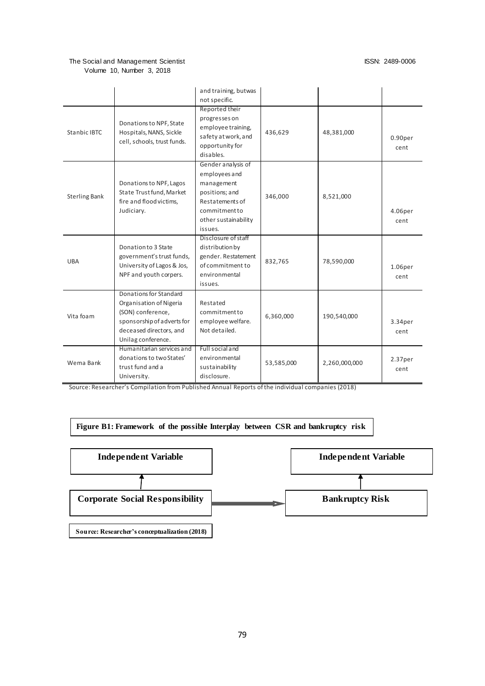|                      |                                                                                   | and training, butwas |            |               |                     |
|----------------------|-----------------------------------------------------------------------------------|----------------------|------------|---------------|---------------------|
|                      |                                                                                   | not specific.        |            |               |                     |
|                      |                                                                                   | Reported their       |            |               |                     |
|                      | Donations to NPF, State<br>Hospitals, NANS, Sickle<br>cell, schools, trust funds. | progresses on        | 436,629    | 48,381,000    |                     |
| <b>Stanbic IBTC</b>  |                                                                                   | employee training,   |            |               |                     |
|                      |                                                                                   | safety at work, and  |            |               | 0.90 <sub>per</sub> |
|                      |                                                                                   | opportunity for      |            |               | cent                |
|                      |                                                                                   | disables.            |            |               |                     |
|                      |                                                                                   | Gender analysis of   |            |               |                     |
|                      |                                                                                   | employees and        |            |               |                     |
|                      | Donations to NPF, Lagos                                                           | management           |            |               |                     |
| <b>Sterling Bank</b> | State Trust fund, Market                                                          | positions; and       | 346,000    | 8,521,000     |                     |
|                      | fire and flood victims,                                                           | Restatements of      |            |               |                     |
|                      | Judiciary.                                                                        | commitmentto         |            |               | 4.06per             |
|                      |                                                                                   | other sustainability |            |               | cent                |
|                      |                                                                                   | issues.              |            |               |                     |
|                      |                                                                                   | Disclosure of staff  |            |               |                     |
|                      | Donation to 3 State                                                               | distribution by      |            |               |                     |
| <b>UBA</b>           | government's trust funds,                                                         | gender. Restatement  | 832,765    | 78,590,000    |                     |
|                      | University of Lagos & Jos,                                                        | of commitment to     |            |               | 1.06per             |
|                      | NPF and youth corpers.                                                            | environmental        |            |               | cent                |
|                      |                                                                                   | issues.              |            |               |                     |
|                      | Donations for Standard                                                            |                      |            |               |                     |
| Vita foam            | Organisation of Nigeria                                                           | Restated             |            |               |                     |
|                      | (SON) conference,                                                                 | commitmentto         | 6,360,000  | 190,540,000   |                     |
|                      | sponsorship of adverts for                                                        | employee welfare.    |            |               | 3.34per             |
|                      | deceased directors, and                                                           | Not detailed.        |            |               | cent                |
|                      | Unilag conference.                                                                |                      |            |               |                     |
| Wema Bank            | Humanitarian services and                                                         | Full social and      | 53,585,000 | 2,260,000,000 |                     |
|                      | donations to two States'                                                          | environmental        |            |               | 2.37 <sub>per</sub> |
|                      | trust fund and a                                                                  | sustainability       |            |               | cent                |
|                      | University.                                                                       | disclosure.          |            |               |                     |

Source: Researcher's Compilation from Published Annual Reports of the individual companies (2018)

**Figure B1: Framework of the possible Interplay between CSR and bankruptcy risk**